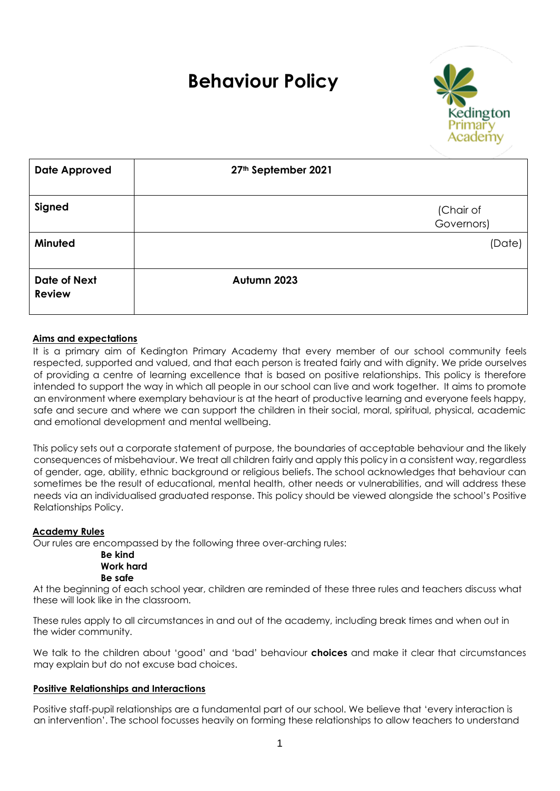## **Behaviour Policy**



| <b>Date Approved</b>                 | 27th September 2021 |                         |
|--------------------------------------|---------------------|-------------------------|
| Signed                               |                     | (Chair of<br>Governors) |
| Minuted                              |                     | (Date)                  |
| <b>Date of Next</b><br><b>Review</b> | Autumn 2023         |                         |

#### **Aims and expectations**

It is a primary aim of Kedington Primary Academy that every member of our school community feels respected, supported and valued, and that each person is treated fairly and with dignity. We pride ourselves of providing a centre of learning excellence that is based on positive relationships. This policy is therefore intended to support the way in which all people in our school can live and work together. It aims to promote an environment where exemplary behaviour is at the heart of productive learning and everyone feels happy, safe and secure and where we can support the children in their social, moral, spiritual, physical, academic and emotional development and mental wellbeing.

This policy sets out a corporate statement of purpose, the boundaries of acceptable behaviour and the likely consequences of misbehaviour. We treat all children fairly and apply this policy in a consistent way, regardless of gender, age, ability, ethnic background or religious beliefs. The school acknowledges that behaviour can sometimes be the result of educational, mental health, other needs or vulnerabilities, and will address these needs via an individualised graduated response. This policy should be viewed alongside the school's Positive Relationships Policy.

#### **Academy Rules**

Our rules are encompassed by the following three over-arching rules:

#### **Be kind Work hard Be safe**

At the beginning of each school year, children are reminded of these three rules and teachers discuss what these will look like in the classroom.

These rules apply to all circumstances in and out of the academy, including break times and when out in the wider community.

We talk to the children about 'good' and 'bad' behaviour **choices** and make it clear that circumstances may explain but do not excuse bad choices.

#### **Positive Relationships and Interactions**

Positive staff-pupil relationships are a fundamental part of our school. We believe that 'every interaction is an intervention'. The school focusses heavily on forming these relationships to allow teachers to understand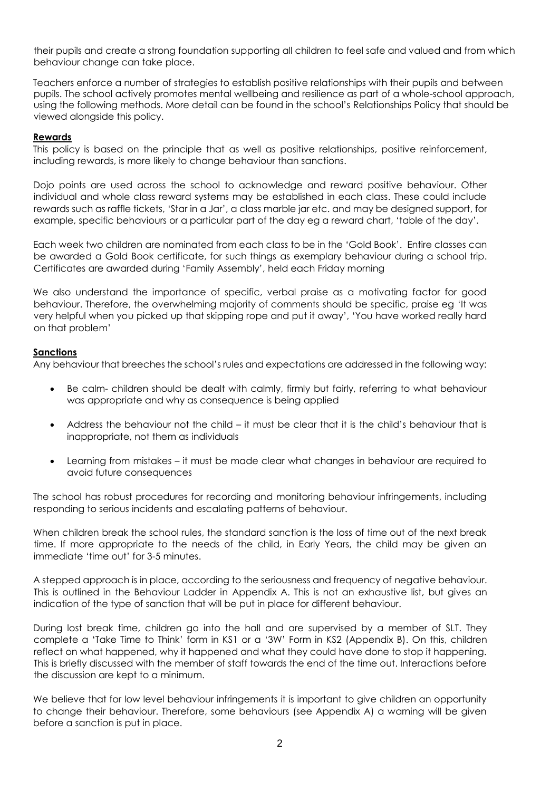their pupils and create a strong foundation supporting all children to feel safe and valued and from which behaviour change can take place.

Teachers enforce a number of strategies to establish positive relationships with their pupils and between pupils. The school actively promotes mental wellbeing and resilience as part of a whole-school approach, using the following methods. More detail can be found in the school's Relationships Policy that should be viewed alongside this policy.

#### **Rewards**

This policy is based on the principle that as well as positive relationships, positive reinforcement, including rewards, is more likely to change behaviour than sanctions.

Dojo points are used across the school to acknowledge and reward positive behaviour. Other individual and whole class reward systems may be established in each class. These could include rewards such as raffle tickets, 'Star in a Jar', a class marble jar etc. and may be designed support, for example, specific behaviours or a particular part of the day eg a reward chart, 'table of the day'.

Each week two children are nominated from each class to be in the 'Gold Book'. Entire classes can be awarded a Gold Book certificate, for such things as exemplary behaviour during a school trip. Certificates are awarded during 'Family Assembly', held each Friday morning

We also understand the importance of specific, verbal praise as a motivating factor for good behaviour. Therefore, the overwhelming majority of comments should be specific, praise eg 'It was very helpful when you picked up that skipping rope and put it away', 'You have worked really hard on that problem'

#### **Sanctions**

Any behaviour that breeches the school's rules and expectations are addressed in the following way:

- Be calm- children should be dealt with calmly, firmly but fairly, referring to what behaviour was appropriate and why as consequence is being applied
- Address the behaviour not the child it must be clear that it is the child's behaviour that is inappropriate, not them as individuals
- Learning from mistakes it must be made clear what changes in behaviour are required to avoid future consequences

The school has robust procedures for recording and monitoring behaviour infringements, including responding to serious incidents and escalating patterns of behaviour.

When children break the school rules, the standard sanction is the loss of time out of the next break time. If more appropriate to the needs of the child, in Early Years, the child may be given an immediate 'time out' for 3-5 minutes.

A stepped approach is in place, according to the seriousness and frequency of negative behaviour. This is outlined in the Behaviour Ladder in Appendix A. This is not an exhaustive list, but gives an indication of the type of sanction that will be put in place for different behaviour.

During lost break time, children go into the hall and are supervised by a member of SLT. They complete a 'Take Time to Think' form in KS1 or a '3W' Form in KS2 (Appendix B). On this, children reflect on what happened, why it happened and what they could have done to stop it happening. This is briefly discussed with the member of staff towards the end of the time out. Interactions before the discussion are kept to a minimum.

We believe that for low level behaviour infringements it is important to give children an opportunity to change their behaviour. Therefore, some behaviours (see Appendix A) a warning will be given before a sanction is put in place.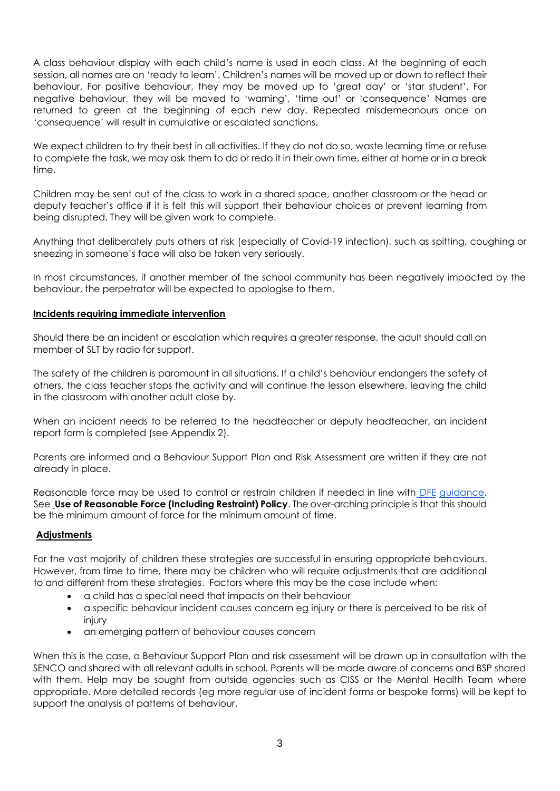A class behaviour display with each child's name is used in each class. At the beginning of each session, all names are on 'ready to learn'. Children's names will be moved up or down to reflect their behaviour. For positive behaviour, they may be moved up to 'great day' or 'star student'. For negative behaviour, they will be moved to 'warning', 'time out' or 'consequence' Names are returned to green at the beginning of each new day. Repeated misdemeanours once on 'consequence' will result in cumulative or escalated sanctions.

We expect children to try their best in all activities. If they do not do so, waste learning time or refuse to complete the task, we may ask them to do or redo it in their own time, either at home or in a break time.

Children may be sent out of the class to work in a shared space, another classroom or the head or deputy teacher's office if it is felt this will support their behaviour choices or prevent learning from being disrupted. They will be given work to complete.

Anything that deliberately puts others at risk (especially of Covid-19 infection), such as spitting, coughing or sneezing in someone's face will also be taken very seriously.

In most circumstances, if another member of the school community has been negatively impacted by the behaviour, the perpetrator will be expected to apologise to them.

#### **Incidents requiring immediate intervention**

Should there be an incident or escalation which requires a greater response, the adult should call on member of SLT by radio for support.

The safety of the children is paramount in all situations. If a child's behaviour endangers the safety of others, the class teacher stops the activity and will continue the lesson elsewhere, leaving the child in the classroom with another adult close by.

When an incident needs to be referred to the headteacher or deputy headteacher, an incident report form is completed (see Appendix 2).

Parents are informed and a Behaviour Support Plan and Risk Assessment are written if they are not already in place.

Reasonable force may be used to control or restrain children if needed in line with DFE guidance. See **Use of Reasonable Force (Including Restraint) Policy**. The over-arching principle is that this should be the minimum amount of force for the minimum amount of time.

#### **Adjustments**

For the vast majority of children these strategies are successful in ensuring appropriate behaviours. However, from time to time, there may be children who will require adjustments that are additional to and different from these strategies. Factors where this may be the case include when:

- a child has a special need that impacts on their behaviour
- a specific behaviour incident causes concern eg injury or there is perceived to be risk of injury
- an emerging pattern of behaviour causes concern

When this is the case, a Behaviour Support Plan and risk assessment will be drawn up in consultation with the SENCO and shared with all relevant adults in school. Parents will be made aware of concerns and BSP shared with them. Help may be sought from outside agencies such as CISS or the Mental Health Team where appropriate. More detailed records (eg more regular use of incident forms or bespoke forms) will be kept to support the analysis of patterns of behaviour.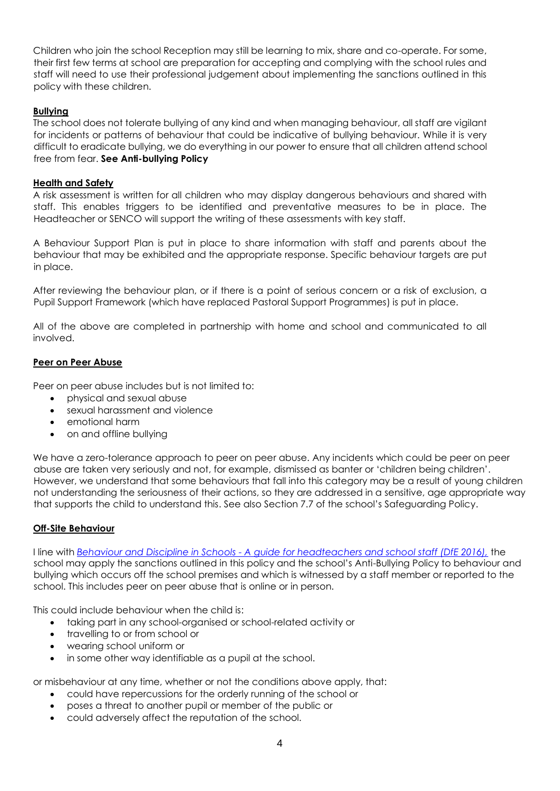Children who join the school Reception may still be learning to mix, share and co-operate. For some, their first few terms at school are preparation for accepting and complying with the school rules and staff will need to use their professional judgement about implementing the sanctions outlined in this policy with these children.

#### **Bullying**

The school does not tolerate bullying of any kind and when managing behaviour, all staff are vigilant for incidents or patterns of behaviour that could be indicative of bullying behaviour. While it is very difficult to eradicate bullying, we do everything in our power to ensure that all children attend school free from fear. **See Anti-bullying Policy**

#### **Health and Safety**

A risk assessment is written for all children who may display dangerous behaviours and shared with staff. This enables triggers to be identified and preventative measures to be in place. The Headteacher or SENCO will support the writing of these assessments with key staff.

A Behaviour Support Plan is put in place to share information with staff and parents about the behaviour that may be exhibited and the appropriate response. Specific behaviour targets are put in place.

After reviewing the behaviour plan, or if there is a point of serious concern or a risk of exclusion, a Pupil Support Framework (which have replaced Pastoral Support Programmes) is put in place.

All of the above are completed in partnership with home and school and communicated to all involved.

#### **Peer on Peer Abuse**

Peer on peer abuse includes but is not limited to:

- physical and sexual abuse
- sexual harassment and violence
- emotional harm
- on and offline bullying

We have a zero-tolerance approach to peer on peer abuse. Any incidents which could be peer on peer abuse are taken very seriously and not, for example, dismissed as banter or 'children being children'. However, we understand that some behaviours that fall into this category may be a result of young children not understanding the seriousness of their actions, so they are addressed in a sensitive, age appropriate way that supports the child to understand this. See also Section 7.7 of the school's Safeguarding Policy.

#### **Off-Site Behaviour**

I line with *Behaviour and Discipline in Schools - [A guide for headteachers and school staff \(DfE 2016\),](https://assets.publishing.service.gov.uk/government/uploads/system/uploads/attachment_data/file/488034/Behaviour_and_Discipline_in_Schools_-_A_guide_for_headteachers_and_School_Staff.pdf)* the school may apply the sanctions outlined in this policy and the school's Anti-Bullying Policy to behaviour and bullying which occurs off the school premises and which is witnessed by a staff member or reported to the school. This includes peer on peer abuse that is online or in person.

This could include behaviour when the child is:

- taking part in any school-organised or school-related activity or
- travelling to or from school or
- wearing school uniform or
- in some other way identifiable as a pupil at the school.

or misbehaviour at any time, whether or not the conditions above apply, that:

- could have repercussions for the orderly running of the school or
- poses a threat to another pupil or member of the public or
- could adversely affect the reputation of the school.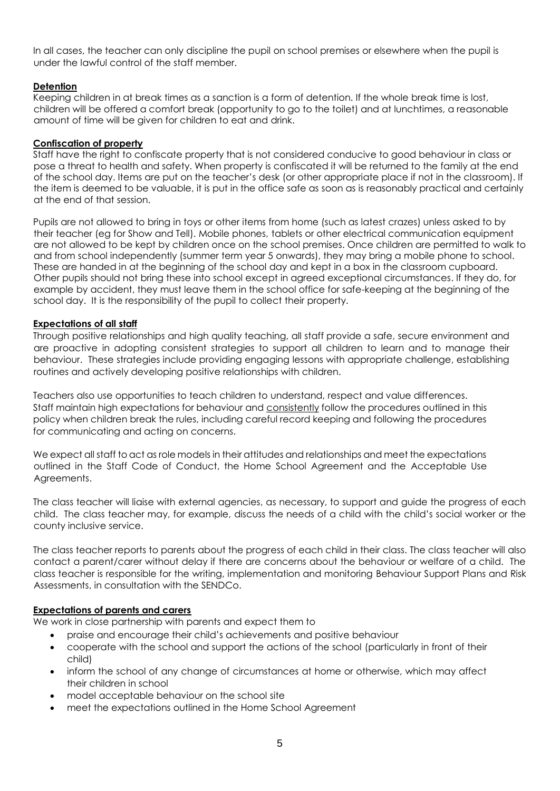In all cases, the teacher can only discipline the pupil on school premises or elsewhere when the pupil is under the lawful control of the staff member.

#### **Detention**

Keeping children in at break times as a sanction is a form of detention. If the whole break time is lost, children will be offered a comfort break (opportunity to go to the toilet) and at lunchtimes, a reasonable amount of time will be given for children to eat and drink.

#### **Confiscation of property**

Staff have the right to confiscate property that is not considered conducive to good behaviour in class or pose a threat to health and safety. When property is confiscated it will be returned to the family at the end of the school day. Items are put on the teacher's desk (or other appropriate place if not in the classroom). If the item is deemed to be valuable, it is put in the office safe as soon as is reasonably practical and certainly at the end of that session.

Pupils are not allowed to bring in toys or other items from home (such as latest crazes) unless asked to by their teacher (eg for Show and Tell). Mobile phones, tablets or other electrical communication equipment are not allowed to be kept by children once on the school premises. Once children are permitted to walk to and from school independently (summer term year 5 onwards), they may bring a mobile phone to school. These are handed in at the beginning of the school day and kept in a box in the classroom cupboard. Other pupils should not bring these into school except in agreed exceptional circumstances. If they do, for example by accident, they must leave them in the school office for safe-keeping at the beginning of the school day. It is the responsibility of the pupil to collect their property.

#### **Expectations of all staff**

Through positive relationships and high quality teaching, all staff provide a safe, secure environment and are proactive in adopting consistent strategies to support all children to learn and to manage their behaviour. These strategies include providing engaging lessons with appropriate challenge, establishing routines and actively developing positive relationships with children.

Teachers also use opportunities to teach children to understand, respect and value differences. Staff maintain high expectations for behaviour and consistently follow the procedures outlined in this policy when children break the rules, including careful record keeping and following the procedures for communicating and acting on concerns.

We expect all staff to act as role models in their attitudes and relationships and meet the expectations outlined in the Staff Code of Conduct, the Home School Agreement and the Acceptable Use Agreements.

The class teacher will liaise with external agencies, as necessary, to support and guide the progress of each child. The class teacher may, for example, discuss the needs of a child with the child's social worker or the county inclusive service.

The class teacher reports to parents about the progress of each child in their class. The class teacher will also contact a parent/carer without delay if there are concerns about the behaviour or welfare of a child. The class teacher is responsible for the writing, implementation and monitoring Behaviour Support Plans and Risk Assessments, in consultation with the SENDCo.

#### **Expectations of parents and carers**

We work in close partnership with parents and expect them to

- praise and encourage their child's achievements and positive behaviour
- cooperate with the school and support the actions of the school (particularly in front of their child)
- inform the school of any change of circumstances at home or otherwise, which may affect their children in school
- model acceptable behaviour on the school site
- meet the expectations outlined in the Home School Agreement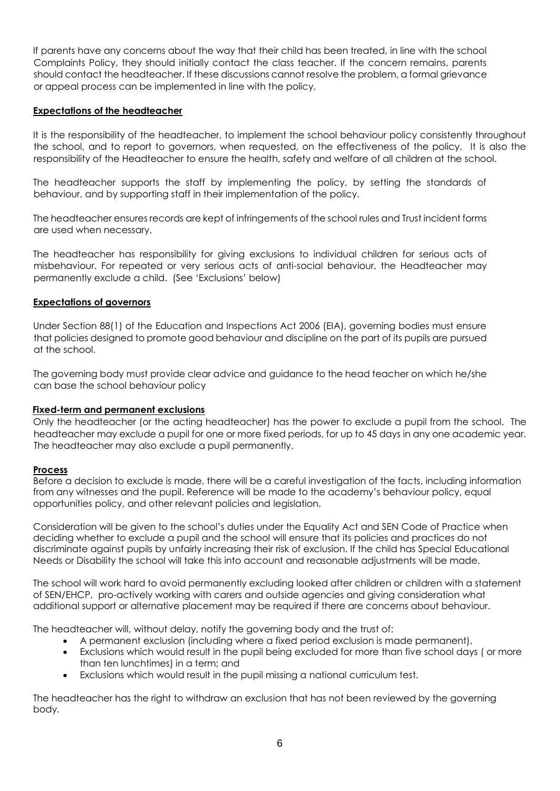If parents have any concerns about the way that their child has been treated, in line with the school Complaints Policy, they should initially contact the class teacher. If the concern remains, parents should contact the headteacher. If these discussions cannot resolve the problem, a formal grievance or appeal process can be implemented in line with the policy.

#### **Expectations of the headteacher**

It is the responsibility of the headteacher, to implement the school behaviour policy consistently throughout the school, and to report to governors, when requested, on the effectiveness of the policy. It is also the responsibility of the Headteacher to ensure the health, safety and welfare of all children at the school.

The headteacher supports the staff by implementing the policy, by setting the standards of behaviour, and by supporting staff in their implementation of the policy.

The headteacher ensures records are kept of infringements of the school rules and Trust incident forms are used when necessary.

The headteacher has responsibility for giving exclusions to individual children for serious acts of misbehaviour. For repeated or very serious acts of anti-social behaviour, the Headteacher may permanently exclude a child. (See 'Exclusions' below)

#### **Expectations of governors**

Under Section 88(1) of the Education and Inspections Act 2006 (EIA), governing bodies must ensure that policies designed to promote good behaviour and discipline on the part of its pupils are pursued at the school.

The governing body must provide clear advice and guidance to the head teacher on which he/she can base the school behaviour policy

#### **Fixed-term and permanent exclusions**

Only the headteacher (or the acting headteacher) has the power to exclude a pupil from the school. The headteacher may exclude a pupil for one or more fixed periods, for up to 45 days in any one academic year. The headteacher may also exclude a pupil permanently.

#### **Process**

Before a decision to exclude is made, there will be a careful investigation of the facts, including information from any witnesses and the pupil. Reference will be made to the academy's behaviour policy, equal opportunities policy, and other relevant policies and legislation.

Consideration will be given to the school's duties under the Equality Act and SEN Code of Practice when deciding whether to exclude a pupil and the school will ensure that its policies and practices do not discriminate against pupils by unfairly increasing their risk of exclusion. If the child has Special Educational Needs or Disability the school will take this into account and reasonable adjustments will be made.

The school will work hard to avoid permanently excluding looked after children or children with a statement of SEN/EHCP, pro-actively working with carers and outside agencies and giving consideration what additional support or alternative placement may be required if there are concerns about behaviour.

The headteacher will, without delay, notify the governing body and the trust of:

- A permanent exclusion (including where a fixed period exclusion is made permanent),
- Exclusions which would result in the pupil being excluded for more than five school days ( or more than ten lunchtimes) in a term; and
- Exclusions which would result in the pupil missing a national curriculum test.

The headteacher has the right to withdraw an exclusion that has not been reviewed by the governing body.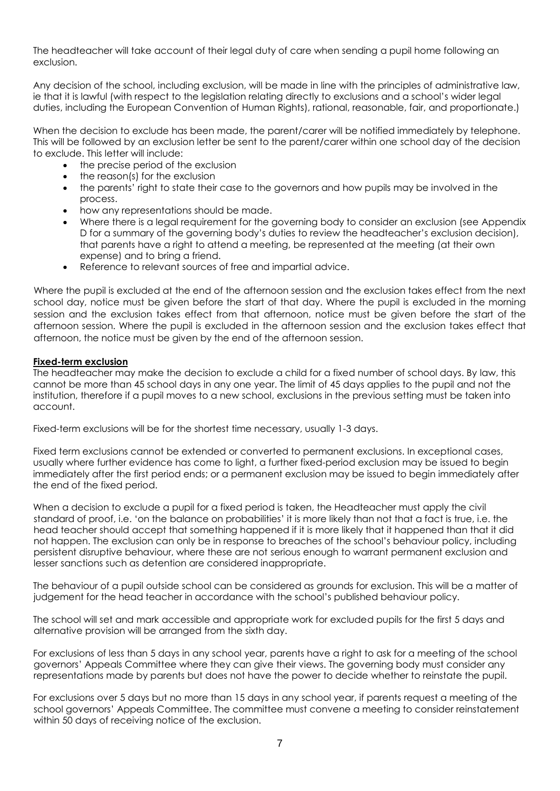The headteacher will take account of their legal duty of care when sending a pupil home following an exclusion.

Any decision of the school, including exclusion, will be made in line with the principles of administrative law, ie that it is lawful (with respect to the legislation relating directly to exclusions and a school's wider legal duties, including the European Convention of Human Rights), rational, reasonable, fair, and proportionate.)

When the decision to exclude has been made, the parent/carer will be notified immediately by telephone. This will be followed by an exclusion letter be sent to the parent/carer within one school day of the decision to exclude. This letter will include:

- the precise period of the exclusion
- the reason(s) for the exclusion
- the parents' right to state their case to the governors and how pupils may be involved in the process.
- how any representations should be made.
- Where there is a legal requirement for the governing body to consider an exclusion (see Appendix D for a summary of the governing body's duties to review the headteacher's exclusion decision), that parents have a right to attend a meeting, be represented at the meeting (at their own expense) and to bring a friend.
- Reference to relevant sources of free and impartial advice.

Where the pupil is excluded at the end of the afternoon session and the exclusion takes effect from the next school day, notice must be given before the start of that day. Where the pupil is excluded in the morning session and the exclusion takes effect from that afternoon, notice must be given before the start of the afternoon session. Where the pupil is excluded in the afternoon session and the exclusion takes effect that afternoon, the notice must be given by the end of the afternoon session.

#### **Fixed-term exclusion**

The headteacher may make the decision to exclude a child for a fixed number of school days. By law, this cannot be more than 45 school days in any one year. The limit of 45 days applies to the pupil and not the institution, therefore if a pupil moves to a new school, exclusions in the previous setting must be taken into account.

Fixed-term exclusions will be for the shortest time necessary, usually 1-3 days.

Fixed term exclusions cannot be extended or converted to permanent exclusions. In exceptional cases, usually where further evidence has come to light, a further fixed-period exclusion may be issued to begin immediately after the first period ends; or a permanent exclusion may be issued to begin immediately after the end of the fixed period.

When a decision to exclude a pupil for a fixed period is taken, the Headteacher must apply the civil standard of proof, i.e. 'on the balance on probabilities' it is more likely than not that a fact is true, i.e. the head teacher should accept that something happened if it is more likely that it happened than that it did not happen. The exclusion can only be in response to breaches of the school's behaviour policy, including persistent disruptive behaviour, where these are not serious enough to warrant permanent exclusion and lesser sanctions such as detention are considered inappropriate.

The behaviour of a pupil outside school can be considered as grounds for exclusion. This will be a matter of judgement for the head teacher in accordance with the school's published behaviour policy.

The school will set and mark accessible and appropriate work for excluded pupils for the first 5 days and alternative provision will be arranged from the sixth day.

For exclusions of less than 5 days in any school year, parents have a right to ask for a meeting of the school governors' Appeals Committee where they can give their views. The governing body must consider any representations made by parents but does not have the power to decide whether to reinstate the pupil.

For exclusions over 5 days but no more than 15 days in any school year, if parents request a meeting of the school governors' Appeals Committee. The committee must convene a meeting to consider reinstatement within 50 days of receiving notice of the exclusion.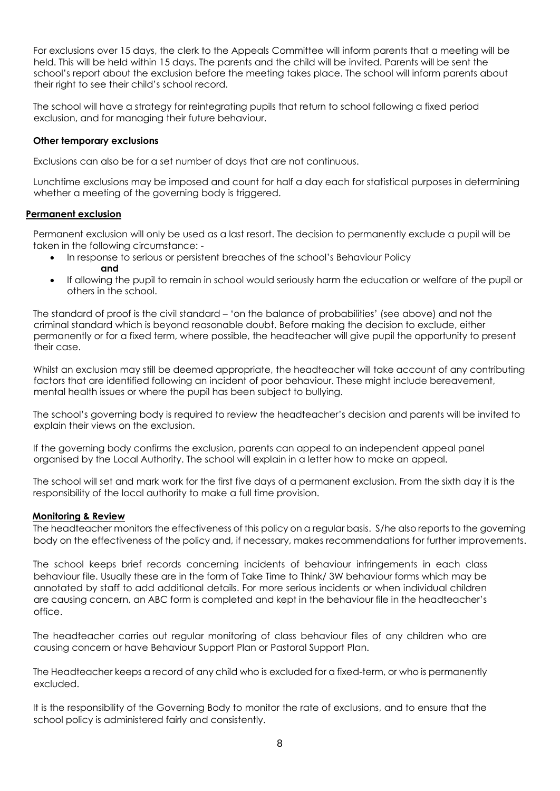For exclusions over 15 days, the clerk to the Appeals Committee will inform parents that a meeting will be held. This will be held within 15 days. The parents and the child will be invited. Parents will be sent the school's report about the exclusion before the meeting takes place. The school will inform parents about their right to see their child's school record.

The school will have a strategy for reintegrating pupils that return to school following a fixed period exclusion, and for managing their future behaviour.

#### **Other temporary exclusions**

Exclusions can also be for a set number of days that are not continuous.

Lunchtime exclusions may be imposed and count for half a day each for statistical purposes in determining whether a meeting of the governing body is triggered.

#### **Permanent exclusion**

Permanent exclusion will only be used as a last resort. The decision to permanently exclude a pupil will be taken in the following circumstance: -

- In response to serious or persistent breaches of the school's Behaviour Policy **and**
- If allowing the pupil to remain in school would seriously harm the education or welfare of the pupil or others in the school.

The standard of proof is the civil standard – 'on the balance of probabilities' (see above) and not the criminal standard which is beyond reasonable doubt. Before making the decision to exclude, either permanently or for a fixed term, where possible, the headteacher will give pupil the opportunity to present their case.

Whilst an exclusion may still be deemed appropriate, the headteacher will take account of any contributing factors that are identified following an incident of poor behaviour. These might include bereavement, mental health issues or where the pupil has been subject to bullying.

The school's governing body is required to review the headteacher's decision and parents will be invited to explain their views on the exclusion.

If the governing body confirms the exclusion, parents can appeal to an independent appeal panel organised by the Local Authority. The school will explain in a letter how to make an appeal.

The school will set and mark work for the first five days of a permanent exclusion. From the sixth day it is the responsibility of the local authority to make a full time provision.

#### **Monitoring & Review**

The headteacher monitors the effectiveness of this policy on a regular basis. S/he also reports to the governing body on the effectiveness of the policy and, if necessary, makes recommendations for further improvements.

The school keeps brief records concerning incidents of behaviour infringements in each class behaviour file. Usually these are in the form of Take Time to Think/ 3W behaviour forms which may be annotated by staff to add additional details. For more serious incidents or when individual children are causing concern, an ABC form is completed and kept in the behaviour file in the headteacher's office.

The headteacher carries out regular monitoring of class behaviour files of any children who are causing concern or have Behaviour Support Plan or Pastoral Support Plan.

The Headteacher keeps a record of any child who is excluded for a fixed-term, or who is permanently excluded.

It is the responsibility of the Governing Body to monitor the rate of exclusions, and to ensure that the school policy is administered fairly and consistently.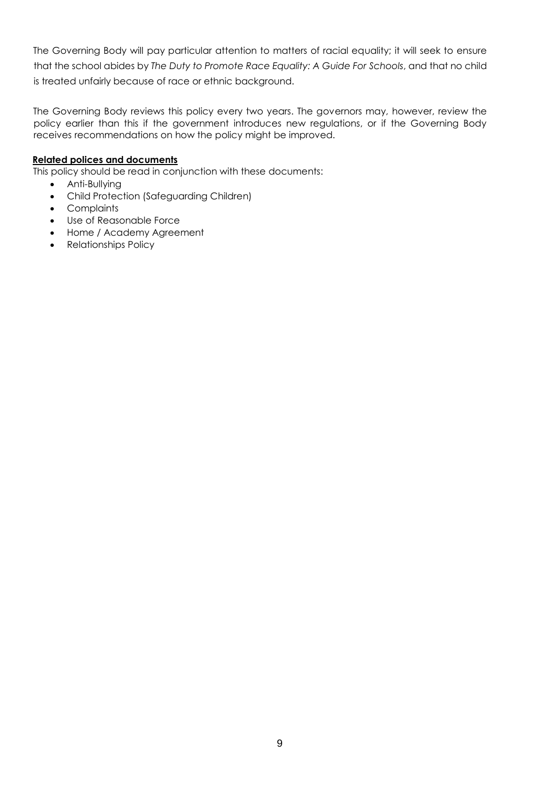The Governing Body will pay particular attention to matters of racial equality; it will seek to ensure that the school abides by *The Duty to Promote Race Equality: A Guide For Schools*, and that no child is treated unfairly because of race or ethnic background.

The Governing Body reviews this policy every two years. The governors may, however, review the policy earlier than this if the government introduces new regulations, or if the Governing Body receives recommendations on how the policy might be improved.

#### **Related polices and documents**

This policy should be read in conjunction with these documents:

- Anti-Bullying
- Child Protection (Safeguarding Children)
- Complaints
- Use of Reasonable Force
- Home / Academy Agreement
- Relationships Policy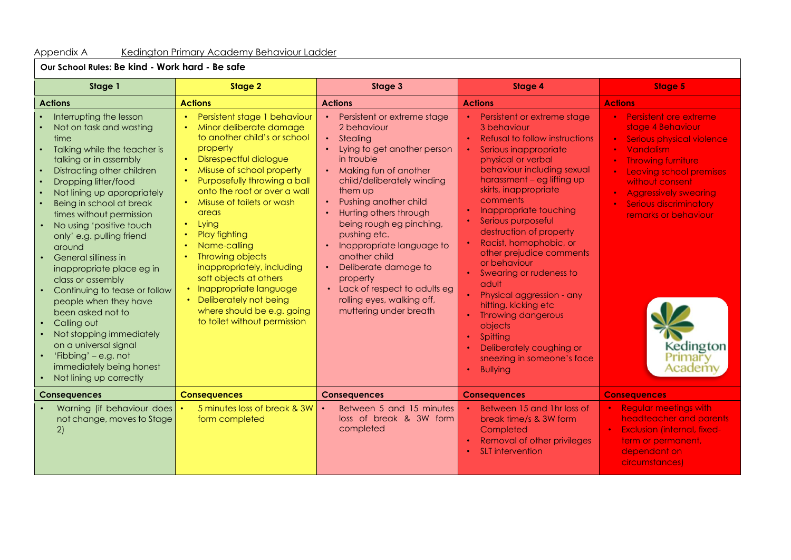#### Appendix A Kedington Primary Academy Behaviour Ladder

**Our School Rules: Be kind - Work hard - Be safe**

| Stage 1                                                                                                                                                                                                                                                                                                                                                                                                                                                                                                                                                                                                                                          | Stage 2                                                                                                                                                                                                                                                                                                                                                                                                                                                                                                                                                                           | Stage 3                                                                                                                                                                                                                                                                                                                                                                                                                                                                                                      | <b>Stage 4</b>                                                                                                                                                                                                                                                                                                                                                                                                                                                                                                                                                                                              | <b>Stage 5</b>                                                                                                                                                                                                                                                                                 |
|--------------------------------------------------------------------------------------------------------------------------------------------------------------------------------------------------------------------------------------------------------------------------------------------------------------------------------------------------------------------------------------------------------------------------------------------------------------------------------------------------------------------------------------------------------------------------------------------------------------------------------------------------|-----------------------------------------------------------------------------------------------------------------------------------------------------------------------------------------------------------------------------------------------------------------------------------------------------------------------------------------------------------------------------------------------------------------------------------------------------------------------------------------------------------------------------------------------------------------------------------|--------------------------------------------------------------------------------------------------------------------------------------------------------------------------------------------------------------------------------------------------------------------------------------------------------------------------------------------------------------------------------------------------------------------------------------------------------------------------------------------------------------|-------------------------------------------------------------------------------------------------------------------------------------------------------------------------------------------------------------------------------------------------------------------------------------------------------------------------------------------------------------------------------------------------------------------------------------------------------------------------------------------------------------------------------------------------------------------------------------------------------------|------------------------------------------------------------------------------------------------------------------------------------------------------------------------------------------------------------------------------------------------------------------------------------------------|
| <b>Actions</b>                                                                                                                                                                                                                                                                                                                                                                                                                                                                                                                                                                                                                                   | <b>Actions</b>                                                                                                                                                                                                                                                                                                                                                                                                                                                                                                                                                                    | <b>Actions</b>                                                                                                                                                                                                                                                                                                                                                                                                                                                                                               | <b>Actions</b>                                                                                                                                                                                                                                                                                                                                                                                                                                                                                                                                                                                              | <b>Actions</b>                                                                                                                                                                                                                                                                                 |
| Interrupting the lesson<br>Not on task and wasting<br>time<br>Talking while the teacher is<br>talking or in assembly<br>Distracting other children<br>Dropping litter/food<br>Not lining up appropriately<br>Being in school at break<br>times without permission<br>No using 'positive touch<br>only' e.g. pulling friend<br>around<br>General silliness in<br>inappropriate place eg in<br>class or assembly<br>Continuing to tease or follow<br>people when they have<br>been asked not to<br>Calling out<br>Not stopping immediately<br>on a universal signal<br>'Fibbing' – e.g. not<br>immediately being honest<br>Not lining up correctly | Persistent stage 1 behaviour<br>$\bullet$ .<br>Minor deliberate damage<br>to another child's or school<br>property<br>Disrespectful dialogue<br>$\bullet$ .<br>Misuse of school property<br>Purposefully throwing a ball<br>onto the roof or over a wall<br>• Misuse of toilets or wash<br>areas<br>Lying<br>$\bullet$<br>Play fighting<br>Name-calling<br>Throwing objects<br>$\bullet$<br>inappropriately, including<br>soft objects at others<br>• Inappropriate language<br>Deliberately not being<br>$\bullet$<br>where should be e.g. going<br>to toilet without permission | Persistent or extreme stage<br>$\bullet$ .<br>2 behaviour<br>$\bullet$ .<br>Stealing<br>Lying to get another person<br>in trouble<br>• Making fun of another<br>child/deliberately winding<br>them up<br>Pushing another child<br>$\bullet$ .<br>Hurting others through<br>being rough eg pinching,<br>pushing etc.<br>Inappropriate language to<br>another child<br>Deliberate damage to<br>$\bullet$ .<br>property<br>Lack of respect to adults eg<br>rolling eyes, walking off,<br>muttering under breath | • Persistent or extreme stage<br>3 behaviour<br>• Refusal to follow instructions<br>Serious inappropriate<br>physical or verbal<br>behaviour including sexual<br>harassment - eg lifting up<br>skirts, inappropriate<br>comments<br>Inappropriate touching<br>Serious purposeful<br>destruction of property<br>Racist, homophobic, or<br>other prejudice comments<br>or behaviour<br>Swearing or rudeness to<br>adult<br>Physical aggression - any<br>hitting, kicking etc<br><b>Throwing dangerous</b><br>objects<br>Spitting<br>Deliberately coughing or<br>sneezing in someone's face<br><b>Bullying</b> | • Persistent ore extreme<br>stage 4 Behaviour<br>Serious physical violence<br>Vandalism<br><b>Throwing furniture</b><br>Leaving school premises<br>without consent<br><b>Aggressively swearing</b><br><b>Serious discriminatory</b><br>remarks or behaviour<br>Kedington<br>Primary<br>Academy |
| <b>Consequences</b>                                                                                                                                                                                                                                                                                                                                                                                                                                                                                                                                                                                                                              | <b>Consequences</b>                                                                                                                                                                                                                                                                                                                                                                                                                                                                                                                                                               | <b>Consequences</b>                                                                                                                                                                                                                                                                                                                                                                                                                                                                                          | <b>Consequences</b>                                                                                                                                                                                                                                                                                                                                                                                                                                                                                                                                                                                         | <b>Consequences</b>                                                                                                                                                                                                                                                                            |
| Warning (if behaviour does<br>not change, moves to Stage<br>2)                                                                                                                                                                                                                                                                                                                                                                                                                                                                                                                                                                                   | 5 minutes loss of break & 3W<br>form completed                                                                                                                                                                                                                                                                                                                                                                                                                                                                                                                                    | Between 5 and 15 minutes<br>loss of break & 3W form<br>completed                                                                                                                                                                                                                                                                                                                                                                                                                                             | Between 15 and 1hr loss of<br>break time/s & 3W form<br>Completed<br><b>Removal of other privileges</b><br>SLT intervention                                                                                                                                                                                                                                                                                                                                                                                                                                                                                 | <b>Regular meetings with</b><br>headteacher and parents<br><b>Exclusion (internal, fixed-</b><br>term or permanent,<br>dependant on<br>circumstances)                                                                                                                                          |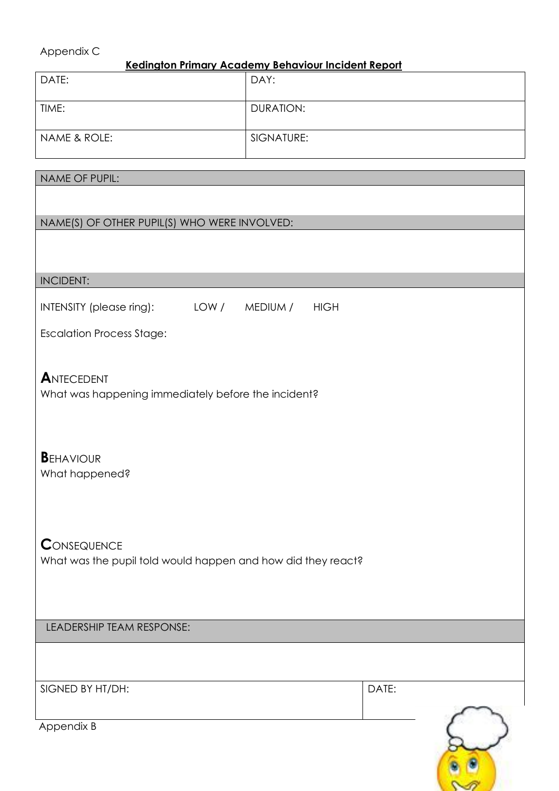#### Appendix C

NAME OF PUPIL:

#### **Kedington Primary Academy Behaviour Incident Report**

| DATE:        | DAY:             |
|--------------|------------------|
| TIME:        | <b>DURATION:</b> |
| NAME & ROLE: | SIGNATURE:       |

# NAME(S) OF OTHER PUPIL(S) WHO WERE INVOLVED:

| <b>INCIDENT:</b>                                                                   |      |          |             |       |  |
|------------------------------------------------------------------------------------|------|----------|-------------|-------|--|
| INTENSITY (please ring):                                                           | LOW/ | MEDIUM / | <b>HIGH</b> |       |  |
| <b>Escalation Process Stage:</b>                                                   |      |          |             |       |  |
| ANTECEDENT<br>What was happening immediately before the incident?                  |      |          |             |       |  |
| <b>BEHAVIOUR</b><br>What happened?                                                 |      |          |             |       |  |
| <b>CONSEQUENCE</b><br>What was the pupil told would happen and how did they react? |      |          |             |       |  |
| LEADERSHIP TEAM RESPONSE:                                                          |      |          |             |       |  |
|                                                                                    |      |          |             |       |  |
| SIGNED BY HT/DH:                                                                   |      |          |             | DATE: |  |
| Appendix B                                                                         |      |          |             |       |  |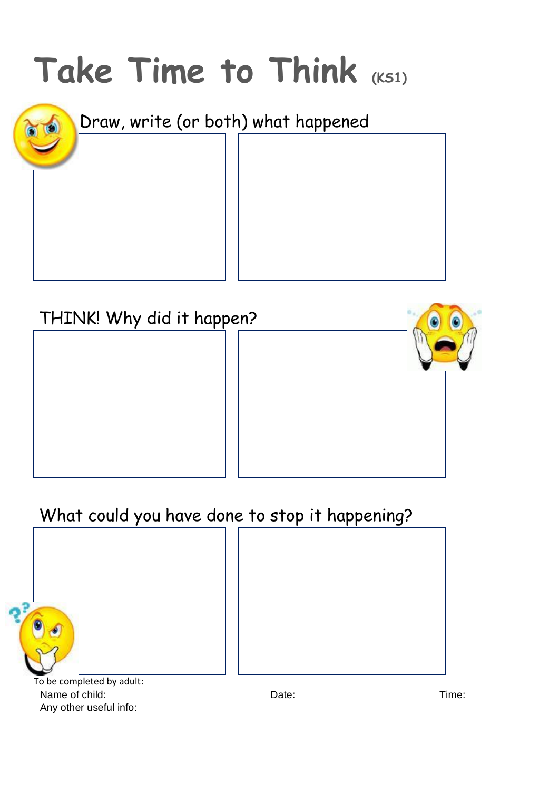

| THINK! Why did it happen? |  |  |
|---------------------------|--|--|
|                           |  |  |
|                           |  |  |
|                           |  |  |
|                           |  |  |
|                           |  |  |

## What could you have done to stop it happening?

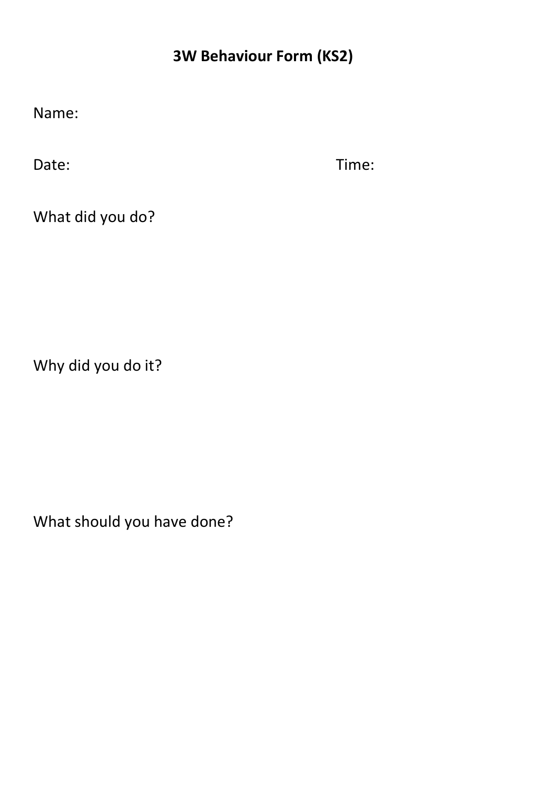### **3W Behaviour Form (KS2)**

Name:

Date: Time:

What did you do?

Why did you do it?

What should you have done?